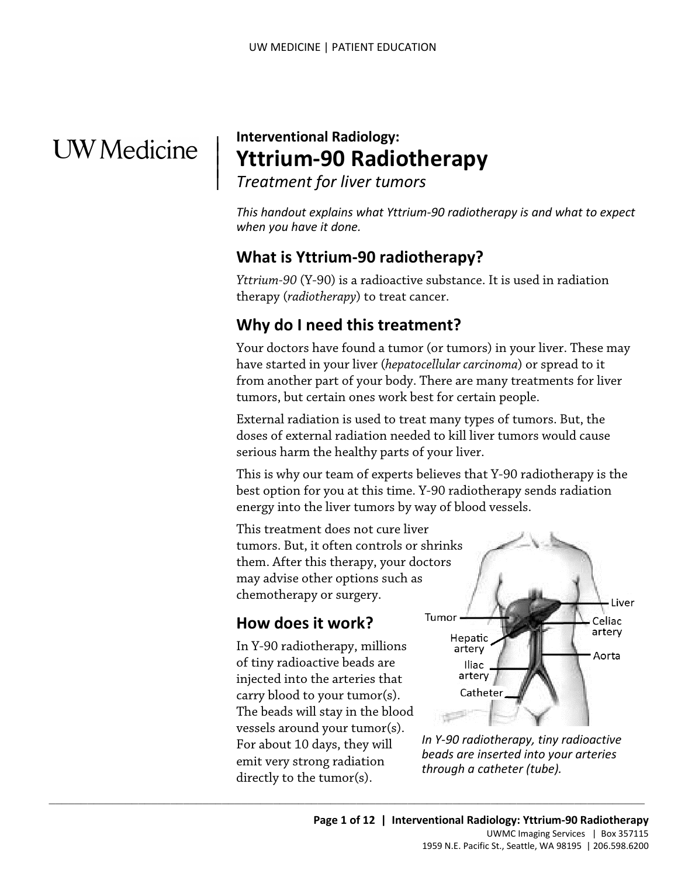# **UW** Medicine

|  $\parallel$  $\vert$ 

## **Interventional Radiology: Yttrium-90 Radiotherapy**

*Treatment for liver tumors* 

*This handout explains what Yttrium-90 radiotherapy is and what to expect when you have it done.* 

### **What is Yttrium-90 radiotherapy?**

*Yttrium-90* (Y-90) is a radioactive substance. It is used in radiation therapy (*radiotherapy*) to treat cancer.

### **Why do I need this treatment?**

tumors, but certain ones work best for certain people. Why do I need this treatment?<br>Your doctors have found a tumor (or tumors) in your liver. These have started in your liver (*hepatocellular carcinoma*) or spread to from another part of your body. There are many treatments Your doctors have found a tumor (or tumors) in your liver. These may have started in your liver (*hepatocellular carcinoma*) or spread to it from another part of your body. There are many treatments for liver

External radiation is used to treat many types of tumors. But, the doses of external radiation needed to kill liver tumors would cause serious harm the healthy parts of your liver.

This is why our team of experts believes that Y-90 radiotherapy is the best option for you at this time. Y-90 radiotherapy sends radiation energy into the liver tumors by way of blood vessels. This treatment does not cure liver

tumors. But, it often controls or shrinks them. After this therapy, your doctors may advise other options such as chemotherapy or surgery.

### **How does it work?**

 In Y-90 radiotherapy, millions emit very strong radiation of tiny radioactive beads are injected into the arteries that carry blood to your tumor(s). The beads will stay in the blood vessels around your tumor(s). For about 10 days, they will directly to the tumor(s).



 *In Y-90 radiotherapy, tiny radioactive beads are inserted into your arteries through a catheter (tube).*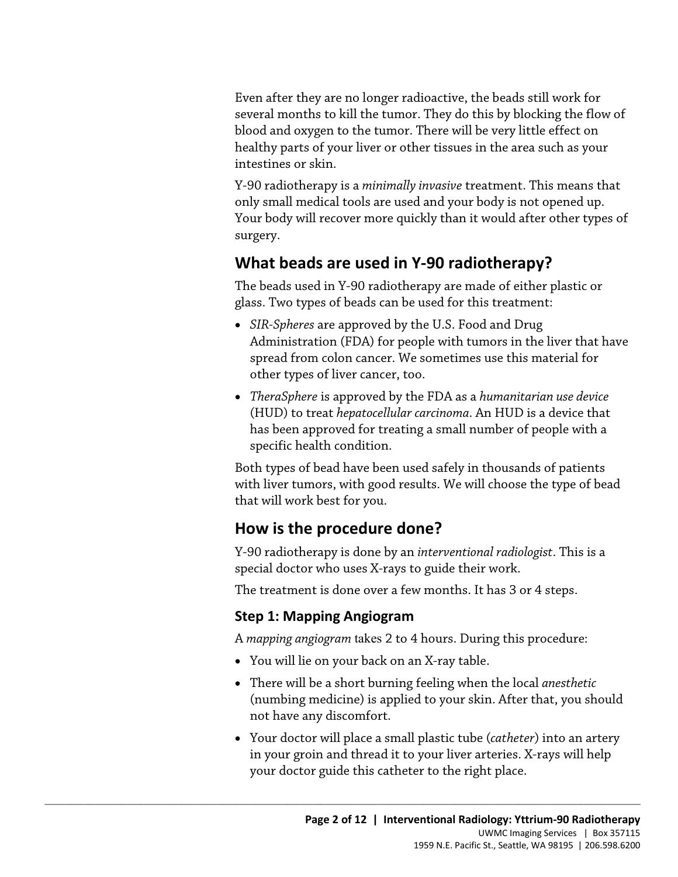Even after they are no longer radioactive, the beads still work for several months to kill the tumor. They do this by blocking the flow of blood and oxygen to the tumor. There will be very little effect on healthy parts of your liver or other tissues in the area such as your intestines or skin.

Y-90 radiotherapy is a *minimally invasive* treatment. This means that only small medical tools are used and your body is not opened up. Your body will recover more quickly than it would after other types of surgery.

### **What beads are used in Y-90 radiotherapy?**

The beads used in Y-90 radiotherapy are made of either plastic or glass. Two types of beads can be used for this treatment:

- spread from colon cancer. We sometimes use this material for other types of liver cancer, too. <ul>\n<li>SIR-Spheres are approved by the U.S. Food and Drug Administration (FDA) for people with tumors in the liver that h spread from colon cancer. We sometimes use this material for other types of liver cancer, too.</li>\n<li><i>TheraSphere</i> is approved by the FDA as a <i>humanitarian use device</i> (HUD) to treat <i>hepatocellular carcinoma</i>. An HUD is a device that has been approved for treating a small number of people with a specific health condition.</li>\n</ul> • *SIR-Spheres* are approved by the U.S. Food and Drug Administration (FDA) for people with tumors in the liver that have
	- *TheraSphere* is approved by the FDA as a *humanitarian use device*  (HUD) to treat *hepatocellular carcinoma*. An HUD is a device that has been approved for treating a small number of people with a specific health condition.

Both types of bead have been used safely in thousands of patients with liver tumors, with good results. We will choose the type of bead that will work best for you.

### **How is the procedure done?**

 special doctor who uses X-rays to guide their work. Y-90 radiotherapy is done by an *interventional radiologist*. This is a

The treatment is done over a few months. It has 3 or 4 steps.

#### **Step 1: Mapping Angiogram**

A *mapping angiogram* takes 2 to 4 hours. During this procedure:

• You will lie on your back on an X-ray table.

- There will be a short burning feeling when the local *anesthetic*  (numbing medicine) is applied to your skin. After that, you should not have any discomfort.
- in your groin and thread it to your liver arteries. X-rays will help your doctor guide this catheter to the right place. • Your doctor will place a small plastic tube (*catheter*) into an artery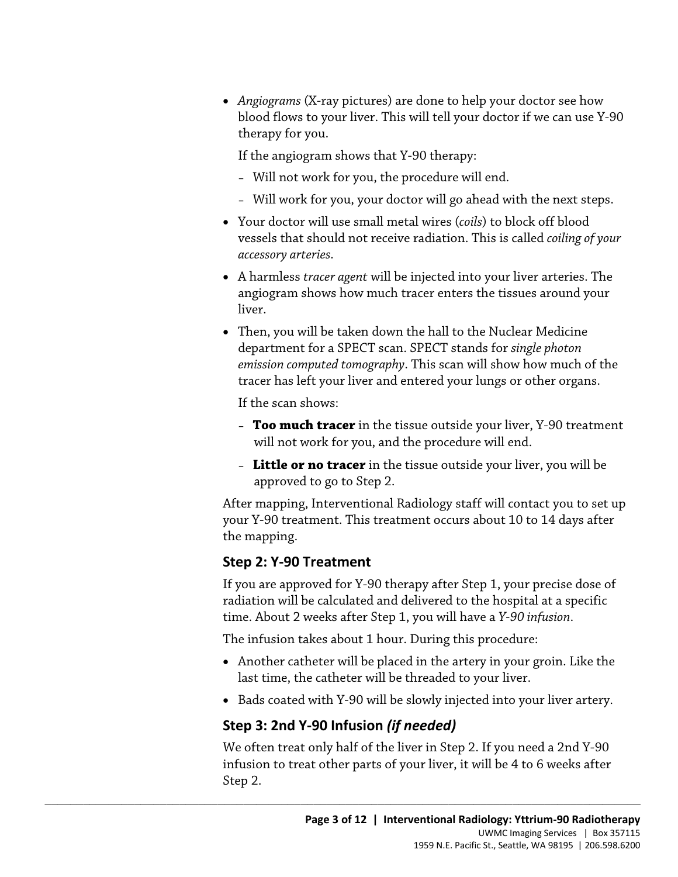therapy for you. • *Angiograms* (X-ray pictures) are done to help your doctor see how blood flows to your liver. This will tell your doctor if we can use Y-90

If the angiogram shows that Y-90 therapy:

- Will not work for you, the procedure will end.
- Will work for you, your doctor will go ahead with the next steps.
- *accessory arteries.* • Your doctor will use small metal wires (*coils*) to block off blood vessels that should not receive radiation. This is called *coiling of your*
- A harmless *tracer agent* will be injected into your liver arteries. The angiogram shows how much tracer enters the tissues around your liver.
- Then, you will be taken down the hall to the Nuclear Medicine<br>department for a SPECT scan. SPECT stands for *single photon*<br>*emission computed tomography*. This scan will show how much of th<br>tracer has left your liver an • Then, you will be taken down the hall to the Nuclear Medicine department for a SPECT scan. SPECT stands for *single photon emission computed tomography*. This scan will show how much of the tracer has left your liver and entered your lungs or other organs.

If the scan shows:

- **Too much tracer** in the tissue outside your liver, Y-90 treatment will not work for you, and the procedure will end.
- **Little or no tracer** in the tissue outside your liver, you will be approved to go to Step 2.

 your Y-90 treatment. This treatment occurs about 10 to 14 days after After mapping, Interventional Radiology staff will contact you to set up the mapping.

#### **Step 2: Y-90 Treatment**

If you are approved for Y-90 therapy after Step 1, your precise dose of radiation will be calculated and delivered to the hospital at a specific time. About 2 weeks after Step 1, you will have a *Y-90 infusion*.

The infusion takes about 1 hour. During this procedure:

- last time, the catheter will be threaded to your liver. • Another catheter will be placed in the artery in your groin. Like the
- Bads coated with Y-90 will be slowly injected into your liver artery.

#### **Step 3: 2nd Y-90 Infusion** *(if needed)*

 $\_$  ,  $\_$  ,  $\_$  ,  $\_$  ,  $\_$  ,  $\_$  ,  $\_$  ,  $\_$  ,  $\_$  ,  $\_$  ,  $\_$  ,  $\_$  ,  $\_$  ,  $\_$  ,  $\_$  ,  $\_$  ,  $\_$  ,  $\_$  ,  $\_$  ,  $\_$  ,  $\_$  ,  $\_$  ,  $\_$  ,  $\_$  ,  $\_$  ,  $\_$  ,  $\_$  ,  $\_$  ,  $\_$  ,  $\_$  ,  $\_$  ,  $\_$  ,  $\_$  ,  $\_$  ,  $\_$  ,  $\_$  ,  $\_$  ,

 Step 2. We often treat only half of the liver in Step 2. If you need a 2nd Y-90 infusion to treat other parts of your liver, it will be 4 to 6 weeks after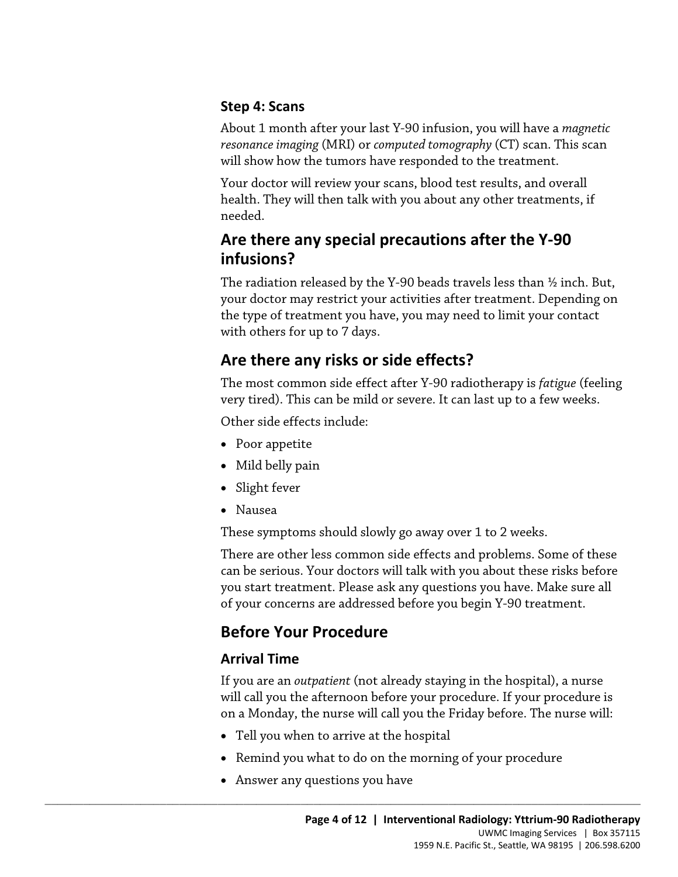#### **Step 4: Scans**

About 1 month after your last Y-90 infusion, you will have a *magnetic resonance imaging* (MRI) or *computed tomography* (CT) scan. This scan will show how the tumors have responded to the treatment.

Your doctor will review your scans, blood test results, and overall health. They will then talk with you about any other treatments, if needed.

### **Are there any special precautions after the Y-90 infusions?**

The radiation released by the Y-90 beads travels less than ½ inch. But, your doctor may restrict your activities after treatment. Depending on the type of treatment you have, you may need to limit your contact with others for up to 7 days.

### **Are there any risks or side effects?**

 The most common side effect after Y-90 radiotherapy is *fatigue* (feeling the type of treatment you have, you may heed to firm your contact<br>with others for up to 7 days.<br>**Are there any risks or side effects?**<br>The most common side effect after Y-90 radiotherapy is *fatigue* (feeli<br>very tired). Th very tired). This can be mild or severe. It can last up to a few weeks.

Other side effects include:

- Poor appetite
- Mild belly pain
- Slight fever
- Nausea

These symptoms should slowly go away over 1 to 2 weeks.

 you start treatment. Please ask any questions you have. Make sure all of your concerns are addressed before you begin Y-90 treatment. There are other less common side effects and problems. Some of these can be serious. Your doctors will talk with you about these risks before

### **Before Your Procedure**

### **Arrival Time**

If you are an *outpatient* (not already staying in the hospital), a nurse will call you the afternoon before your procedure. If your procedure is on a Monday, the nurse will call you the Friday before. The nurse will:

• Tell you when to arrive at the hospital

- Remind you what to do on the morning of your procedure
- Answer any questions you have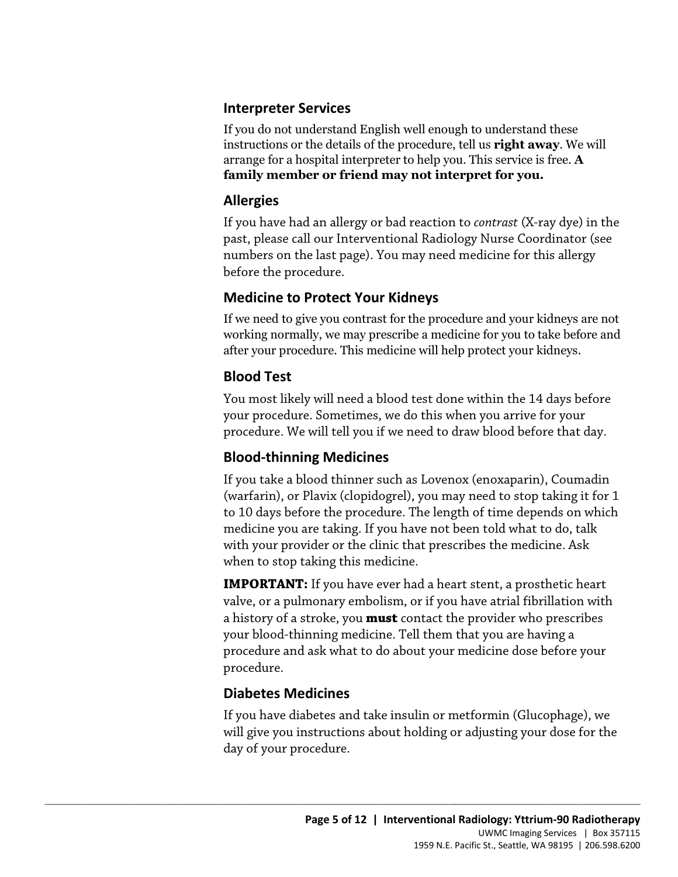#### **Interpreter Services**

If you do not understand English well enough to understand these instructions or the details of the procedure, tell us **right away**. We will arrange for a hospital interpreter to help you. This service is free. **A family member or friend may not interpret for you.** 

#### **Allergies**

If you have had an allergy or bad reaction to *contrast* (X-ray dye) in the past, please call our Interventional Radiology Nurse Coordinator (see numbers on the last page). You may need medicine for this allergy before the procedure.

### **Medicine to Protect Your Kidneys**

If we need to give you contrast for the procedure and your kidneys are not working normally, we may prescribe a medicine for you to take before and after your procedure. This medicine will help protect your kidneys.

### **Blood Test**

If we need to give you contrast for the procedure and your kidneys are n<br>working normally, we may prescribe a medicine for you to take before a<br>after your procedure. This medicine will help protect your kidneys.<br>**Blood Tes** You most likely will need a blood test done within the 14 days before your procedure. Sometimes, we do this when you arrive for your procedure. We will tell you if we need to draw blood before that day.

### **Blood-thinning Medicines**

If you take a blood thinner such as Lovenox (enoxaparin), Coumadin (warfarin), or Plavix (clopidogrel), you may need to stop taking it for 1 to 10 days before the procedure. The length of time depends on which medicine you are taking. If you have not been told what to do, talk with your provider or the clinic that prescribes the medicine. Ask when to stop taking this medicine.

**IMPORTANT:** If you have ever had a heart stent, a prosthetic heart valve, or a pulmonary embolism, or if you have atrial fibrillation with a history of a stroke, you **must** contact the provider who prescribes your blood-thinning medicine. Tell them that you are having a procedure and ask what to do about your medicine dose before your procedure.

### **Diabetes Medicines**

 $\_$  ,  $\_$  ,  $\_$  ,  $\_$  ,  $\_$  ,  $\_$  ,  $\_$  ,  $\_$  ,  $\_$  ,  $\_$  ,  $\_$  ,  $\_$  ,  $\_$  ,  $\_$  ,  $\_$  ,  $\_$  ,  $\_$  ,  $\_$  ,  $\_$  ,  $\_$  ,  $\_$  ,  $\_$  ,  $\_$  ,  $\_$  ,  $\_$  ,  $\_$  ,  $\_$  ,  $\_$  ,  $\_$  ,  $\_$  ,  $\_$  ,  $\_$  ,  $\_$  ,  $\_$  ,  $\_$  ,  $\_$  ,  $\_$  ,

If you have diabetes and take insulin or metformin (Glucophage), we will give you instructions about holding or adjusting your dose for the day of your procedure.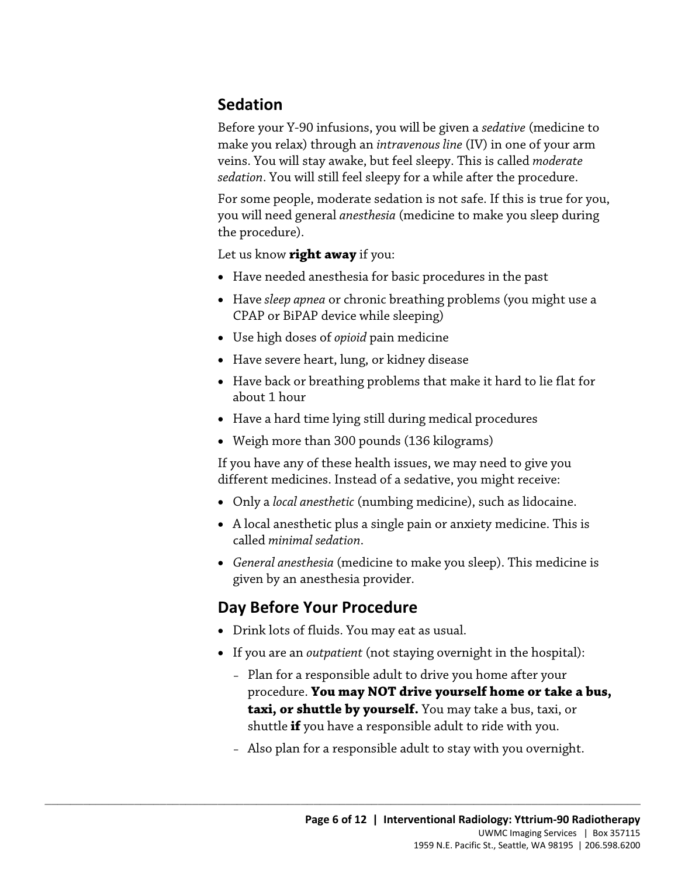### **Sedation**

Before your Y-90 infusions, you will be given a *sedative* (medicine to make you relax) through an *intravenous line* (IV) in one of your arm veins. You will stay awake, but feel sleepy. This is called *moderate sedation*. You will still feel sleepy for a while after the procedure.

For some people, moderate sedation is not safe. If this is true for you, you will need general *anesthesia* (medicine to make you sleep during the procedure).

Let us know **right away** if you:

- Have needed anesthesia for basic procedures in the past
- Have *sleep apnea* or chronic breathing problems (you might use a CPAP or BiPAP device while sleeping)
- Use high doses of *opioid* pain medicine
- Have severe heart, lung, or kidney disease
- Use high doses of *opioid* pain medicine<br>• Have severe heart, lung, or kidney disease<br>• Have back or breathing problems that make it hard to lie flat for<br>• Have a hard time lying still during medical procedures<br>• Weigh m • Have back or breathing problems that make it hard to lie flat for about 1 hour
	- Have a hard time lying still during medical procedures
	- Weigh more than 300 pounds (136 kilograms)

If you have any of these health issues, we may need to give you different medicines. Instead of a sedative, you might receive:

- Only a *local anesthetic* (numbing medicine), such as lidocaine.
- A local anesthetic plus a single pain or anxiety medicine. This is called *minimal sedation*.
- *General anesthesia* (medicine to make you sleep). This medicine is given by an anesthesia provider.

### **Day Before Your Procedure**

• Drink lots of fluids. You may eat as usual.

- If you are an *outpatient* (not staying overnight in the hospital):
	- procedure. **You may NOT drive yourself home or take a bus,**  – Plan for a responsible adult to drive you home after your **taxi, or shuttle by yourself.** You may take a bus, taxi, or shuttle **if** you have a responsible adult to ride with you.
	- Also plan for a responsible adult to stay with you overnight.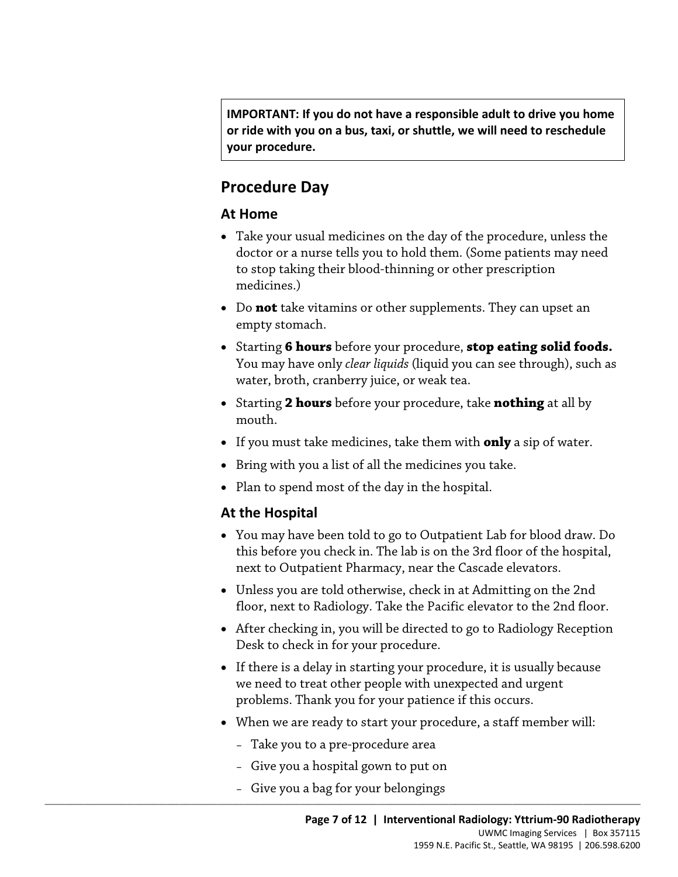**or ride with you on a bus, taxi, or shuttle, we will need to reschedule IMPORTANT: If you do not have a responsible adult to drive you home your procedure.** 

### **Procedure Day**

#### **At Home**

- to stop taking their blood-thinning or other prescription • Take your usual medicines on the day of the procedure, unless the doctor or a nurse tells you to hold them. (Some patients may need medicines.)
- • Do **not** take vitamins or other supplements. They can upset an empty stomach.
- empty stomach.<br>
 Starting **6 hours** before your procedure, **stop eating solid foods**<br>
You may have only *clear liquids* (liquid you can see through), such a<br>
water, broth, cranberry juice, or weak tea.<br>
 Starting **2 hour** • Starting **6 hours** before your procedure, **stop eating solid foods.**  You may have only *clear liquids* (liquid you can see through), such as water, broth, cranberry juice, or weak tea.
	- Starting **2 hours** before your procedure, take **nothing** at all by mouth.
	- If you must take medicines, take them with **only** a sip of water.
	- Bring with you a list of all the medicines you take.
	- Plan to spend most of the day in the hospital.

#### **At the Hospital**

- You may have been told to go to Outpatient Lab for blood draw. Do this before you check in. The lab is on the 3rd floor of the hospital, next to Outpatient Pharmacy, near the Cascade elevators.
- • Unless you are told otherwise, check in at Admitting on the 2nd floor, next to Radiology. Take the Pacific elevator to the 2nd floor.
- After checking in, you will be directed to go to Radiology Reception Desk to check in for your procedure.
- we need to treat other people with unexpected and urgent • If there is a delay in starting your procedure, it is usually because problems. Thank you for your patience if this occurs.
- When we are ready to start your procedure, a staff member will:
	- Take you to a pre-procedure area
	- Give you a hospital gown to put on
- $\_$  ,  $\_$  ,  $\_$  ,  $\_$  ,  $\_$  ,  $\_$  ,  $\_$  ,  $\_$  ,  $\_$  ,  $\_$  ,  $\_$  ,  $\_$  ,  $\_$  ,  $\_$  ,  $\_$  ,  $\_$  ,  $\_$  ,  $\_$  ,  $\_$  ,  $\_$  ,  $\_$  ,  $\_$  ,  $\_$  ,  $\_$  ,  $\_$  ,  $\_$  ,  $\_$  ,  $\_$  ,  $\_$  ,  $\_$  ,  $\_$  ,  $\_$  ,  $\_$  ,  $\_$  ,  $\_$  ,  $\_$  ,  $\_$  , – Give you a bag for your belongings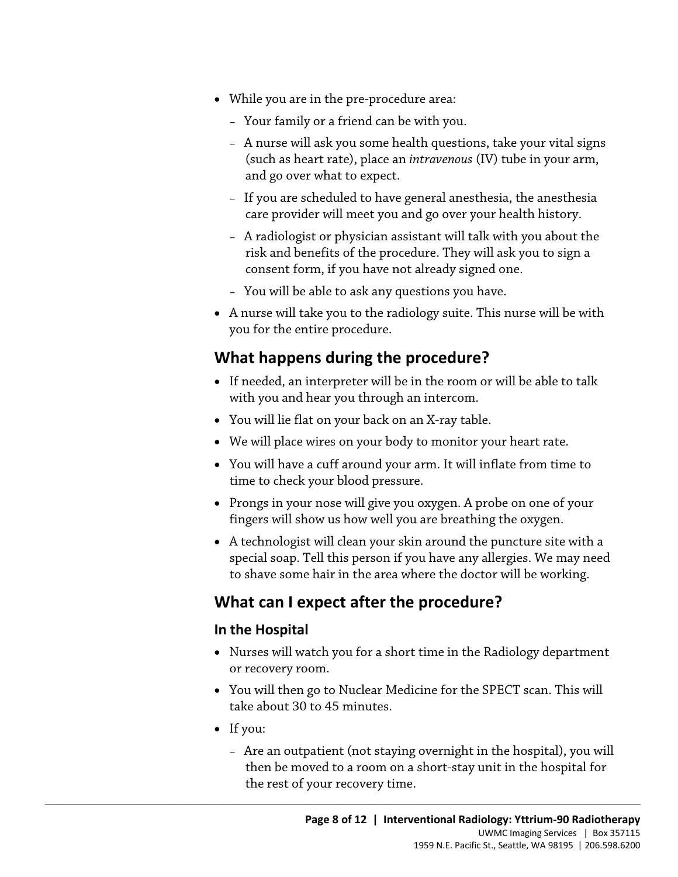- While you are in the pre-procedure area:
	- Your family or a friend can be with you.
	- A nurse will ask you some health questions, take your vital signs (such as heart rate), place an *intravenous* (IV) tube in your arm, and go over what to expect.
	- If you are scheduled to have general anesthesia, the anesthesia care provider will meet you and go over your health history.
	- A radiologist or physician assistant will talk with you about the risk and benefits of the procedure. They will ask you to sign a consent form, if you have not already signed one.
	- You will be able to ask any questions you have.
- A nurse will take you to the radiology suite. This nurse will be with you for the entire procedure.

### **What happens during the procedure?**

- What happens during the procedure?<br>
What happens during the procedure?<br>
 If needed, an interpreter will be in the room or will be able to talk<br>
with you and hear you through an intercom.<br>
 You will lie flat on your back • If needed, an interpreter will be in the room or will be able to talk with you and hear you through an intercom.
	- You will lie flat on your back on an X-ray table.
	- We will place wires on your body to monitor your heart rate.
	- • You will have a cuff around your arm. It will inflate from time to time to check your blood pressure.
	- Prongs in your nose will give you oxygen. A probe on one of your fingers will show us how well you are breathing the oxygen.
	- A technologist will clean your skin around the puncture site with a special soap. Tell this person if you have any allergies. We may need to shave some hair in the area where the doctor will be working.

### **What can I expect after the procedure?**

 $\_$  ,  $\_$  ,  $\_$  ,  $\_$  ,  $\_$  ,  $\_$  ,  $\_$  ,  $\_$  ,  $\_$  ,  $\_$  ,  $\_$  ,  $\_$  ,  $\_$  ,  $\_$  ,  $\_$  ,  $\_$  ,  $\_$  ,  $\_$  ,  $\_$  ,  $\_$  ,  $\_$  ,  $\_$  ,  $\_$  ,  $\_$  ,  $\_$  ,  $\_$  ,  $\_$  ,  $\_$  ,  $\_$  ,  $\_$  ,  $\_$  ,  $\_$  ,  $\_$  ,  $\_$  ,  $\_$  ,  $\_$  ,  $\_$  ,

#### **In the Hospital**

- Nurses will watch you for a short time in the Radiology department or recovery room.
- • You will then go to Nuclear Medicine for the SPECT scan. This will take about 30 to 45 minutes.
- If you:
	- the rest of your recovery time. – Are an outpatient (not staying overnight in the hospital), you will then be moved to a room on a short-stay unit in the hospital for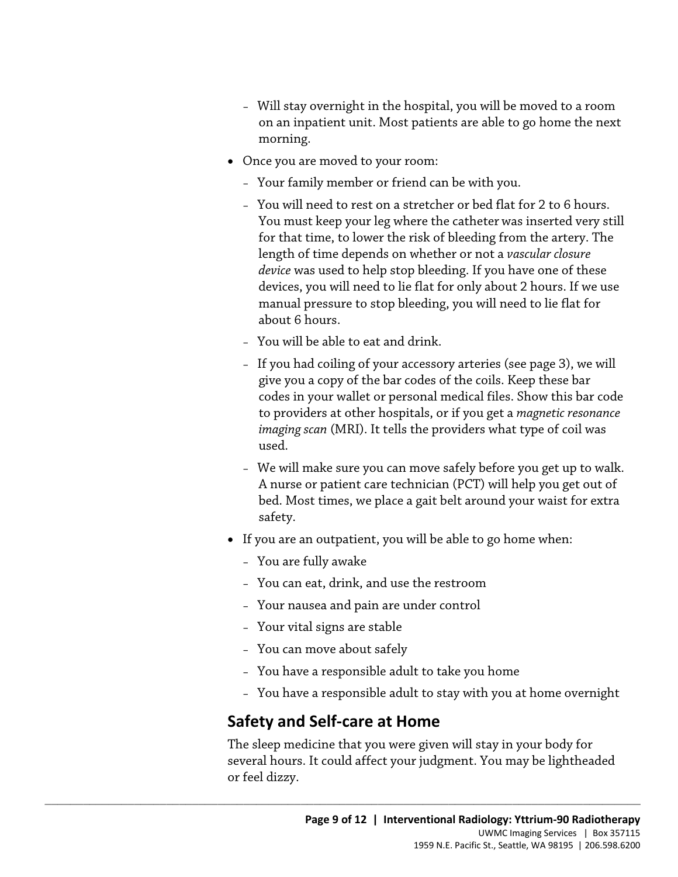- Will stay overnight in the hospital, you will be moved to a room on an inpatient unit. Most patients are able to go home the next morning.
- Once you are moved to your room:
	- Your family member or friend can be with you.
	- *device* was used to help stop bleeding. If you have one of these devices, you will need to lie flat for only about 2 hours. If we use – You will need to rest on a stretcher or bed flat for 2 to 6 hours. You must keep your leg where the catheter was inserted very still for that time, to lower the risk of bleeding from the artery. The length of time depends on whether or not a *vascular closure*  manual pressure to stop bleeding, you will need to lie flat for about 6 hours.
	- You will be able to eat and drink.
- about 6 hours.<br>- You will be able to eat and drink.<br>- If you had coiling of your accessory arteries (see page 3), we wi<br>give you a copy of the bar codes of the coils. Keep these bar<br>codes in your wallet or personal medical – If you had coiling of your accessory arteries (see page 3), we will give you a copy of the bar codes of the coils. Keep these bar codes in your wallet or personal medical files. Show this bar code to providers at other hospitals, or if you get a *magnetic resonance imaging scan* (MRI). It tells the providers what type of coil was used.
	- We will make sure you can move safely before you get up to walk. A nurse or patient care technician (PCT) will help you get out of bed. Most times, we place a gait belt around your waist for extra safety.
	- If you are an outpatient, you will be able to go home when:
		- You are fully awake
		- You can eat, drink, and use the restroom
		- Your nausea and pain are under control
		- Your vital signs are stable
		- You can move about safely
		- You have a responsible adult to take you home
		- You have a responsible adult to stay with you at home overnight

### **Safety and Self-care at Home**

 $\_$  ,  $\_$  ,  $\_$  ,  $\_$  ,  $\_$  ,  $\_$  ,  $\_$  ,  $\_$  ,  $\_$  ,  $\_$  ,  $\_$  ,  $\_$  ,  $\_$  ,  $\_$  ,  $\_$  ,  $\_$  ,  $\_$  ,  $\_$  ,  $\_$  ,  $\_$  ,  $\_$  ,  $\_$  ,  $\_$  ,  $\_$  ,  $\_$  ,  $\_$  ,  $\_$  ,  $\_$  ,  $\_$  ,  $\_$  ,  $\_$  ,  $\_$  ,  $\_$  ,  $\_$  ,  $\_$  ,  $\_$  ,  $\_$  ,

The sleep medicine that you were given will stay in your body for several hours. It could affect your judgment. You may be lightheaded or feel dizzy.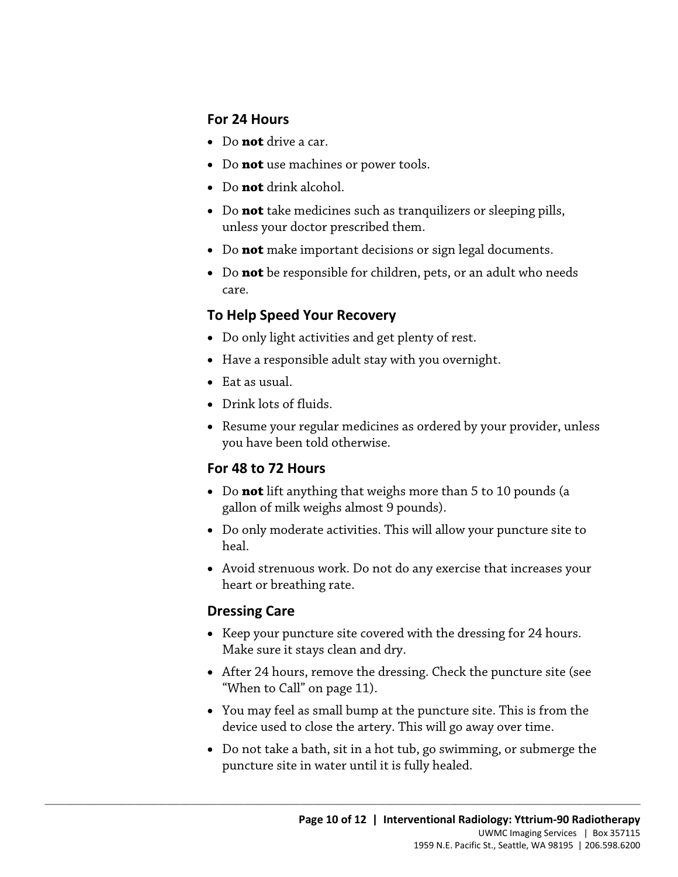#### **For 24 Hours**

- Do **not** drive a car.
- Do **not** use machines or power tools.
- Do **not** drink alcohol.
- Do **not** take medicines such as tranquilizers or sleeping pills, unless your doctor prescribed them.
- Do **not** make important decisions or sign legal documents.
- Do **not** be responsible for children, pets, or an adult who needs care.

#### **To Help Speed Your Recovery**

- Do only light activities and get plenty of rest.
- Have a responsible adult stay with you overnight.
- Eat as usual.
- Drink lots of fluids.
- Do only light activities and get plenty of rest.<br>• Have a responsible adult stay with you overnight.<br>• Eat as usual.<br>• Drink lots of fluids.<br>• Resume your regular medicines as ordered by your provider, unless<br>you have be • Resume your regular medicines as ordered by your provider, unless you have been told otherwise.

#### **For 48 to 72 Hours**

- gallon of milk weighs almost 9 pounds). • Do **not** lift anything that weighs more than 5 to 10 pounds (a
- Do only moderate activities. This will allow your puncture site to heal.
- • Avoid strenuous work. Do not do any exercise that increases your heart or breathing rate.

#### **Dressing Care**

- Keep your puncture site covered with the dressing for 24 hours. Make sure it stays clean and dry.
- After 24 hours, remove the dressing. Check the puncture site (see "When to Call" on page 11).
- device used to close the artery. This will go away over time. • You may feel as small bump at the puncture site. This is from the
- • Do not take a bath, sit in a hot tub, go swimming, or submerge the puncture site in water until it is fully healed.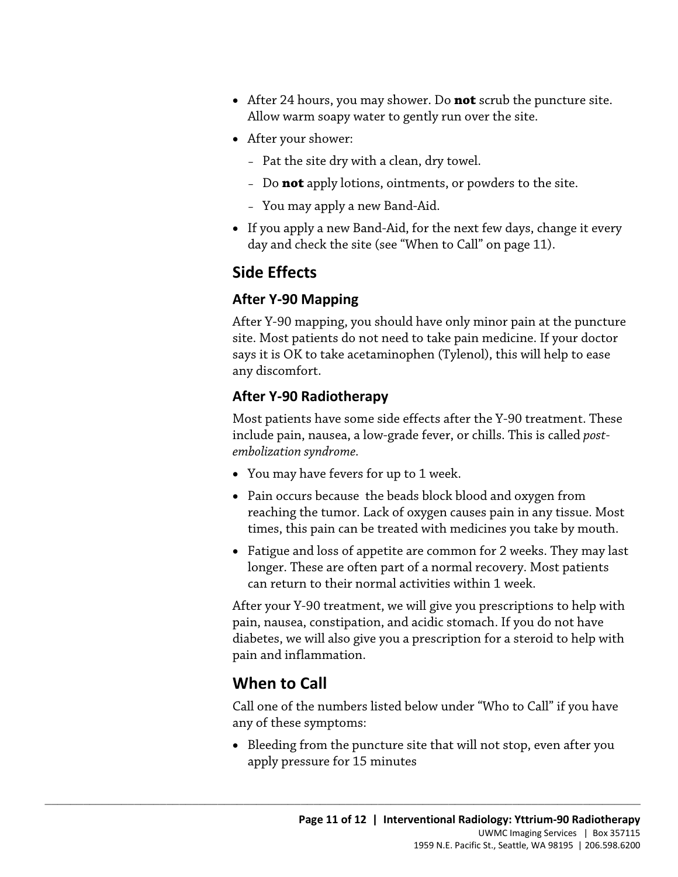- After 24 hours, you may shower. Do **not** scrub the puncture site. Allow warm soapy water to gently run over the site.
- After your shower:
	- Pat the site dry with a clean, dry towel.
	- Do **not** apply lotions, ointments, or powders to the site.
	- You may apply a new Band-Aid.
- day and check the site (see "When to Call" on page 11). • If you apply a new Band-Aid, for the next few days, change it every

### **Side Effects**

#### **After Y-90 Mapping**

After Y-90 mapping, you should have only minor pain at the punct<br>site. Most patients do not need to take pain medicine. If your doct<br>says it is OK to take acetaminophen (Tylenol), this will help to ease<br>any discomfort.<br>**Af** After Y-90 mapping, you should have only minor pain at the puncture site. Most patients do not need to take pain medicine. If your doctor says it is OK to take acetaminophen (Tylenol), this will help to ease any discomfort.

#### **After Y-90 Radiotherapy**

Most patients have some side effects after the Y-90 treatment. These include pain, nausea, a low-grade fever, or chills. This is called *postembolization syndrome.* 

• You may have fevers for up to 1 week.

 $\_$  ,  $\_$  ,  $\_$  ,  $\_$  ,  $\_$  ,  $\_$  ,  $\_$  ,  $\_$  ,  $\_$  ,  $\_$  ,  $\_$  ,  $\_$  ,  $\_$  ,  $\_$  ,  $\_$  ,  $\_$  ,  $\_$  ,  $\_$  ,  $\_$  ,  $\_$  ,  $\_$  ,  $\_$  ,  $\_$  ,  $\_$  ,  $\_$  ,  $\_$  ,  $\_$  ,  $\_$  ,  $\_$  ,  $\_$  ,  $\_$  ,  $\_$  ,  $\_$  ,  $\_$  ,  $\_$  ,  $\_$  ,  $\_$  ,

- Pain occurs because the beads block blood and oxygen from reaching the tumor. Lack of oxygen causes pain in any tissue. Most times, this pain can be treated with medicines you take by mouth.
- can return to their normal activities within 1 week. • Fatigue and loss of appetite are common for 2 weeks. They may last longer. These are often part of a normal recovery. Most patients

 pain, nausea, constipation, and acidic stomach. If you do not have After your Y-90 treatment, we will give you prescriptions to help with diabetes, we will also give you a prescription for a steroid to help with pain and inflammation.

### **When to Call**

Call one of the numbers listed below under "Who to Call" if you have any of these symptoms:

• Bleeding from the puncture site that will not stop, even after you apply pressure for 15 minutes